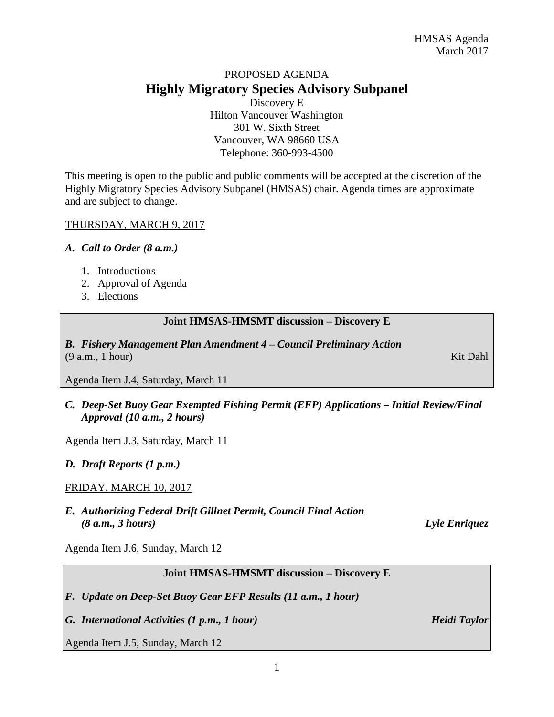# PROPOSED AGENDA **Highly Migratory Species Advisory Subpanel**

Discovery E Hilton Vancouver Washington 301 W. Sixth Street Vancouver, WA 98660 USA Telephone: 360-993-4500

This meeting is open to the public and public comments will be accepted at the discretion of the Highly Migratory Species Advisory Subpanel (HMSAS) chair. Agenda times are approximate and are subject to change.

## THURSDAY, MARCH 9, 2017

#### *A. Call to Order (8 a.m.)*

- 1. Introductions
- 2. Approval of Agenda
- 3. Elections

#### **Joint HMSAS-HMSMT discussion – Discovery E**

*B. Fishery Management Plan Amendment 4 – Council Preliminary Action* (9 a.m., 1 hour) Kit Dahl

Agenda Item J.4, Saturday, March 11

*C. Deep-Set Buoy Gear Exempted Fishing Permit (EFP) Applications – Initial Review/Final Approval (10 a.m., 2 hours)*

Agenda Item J.3, Saturday, March 11

## *D. Draft Reports (1 p.m.)*

## FRIDAY, MARCH 10, 2017

*E. Authorizing Federal Drift Gillnet Permit, Council Final Action (8 a.m., 3 hours) Lyle Enriquez*

Agenda Item J.6, Sunday, March 12

## **Joint HMSAS-HMSMT discussion – Discovery E**

*F. Update on Deep-Set Buoy Gear EFP Results (11 a.m., 1 hour)*

*G. International Activities (1 p.m., 1 hour) Heidi Taylor*

Agenda Item J.5, Sunday, March 12